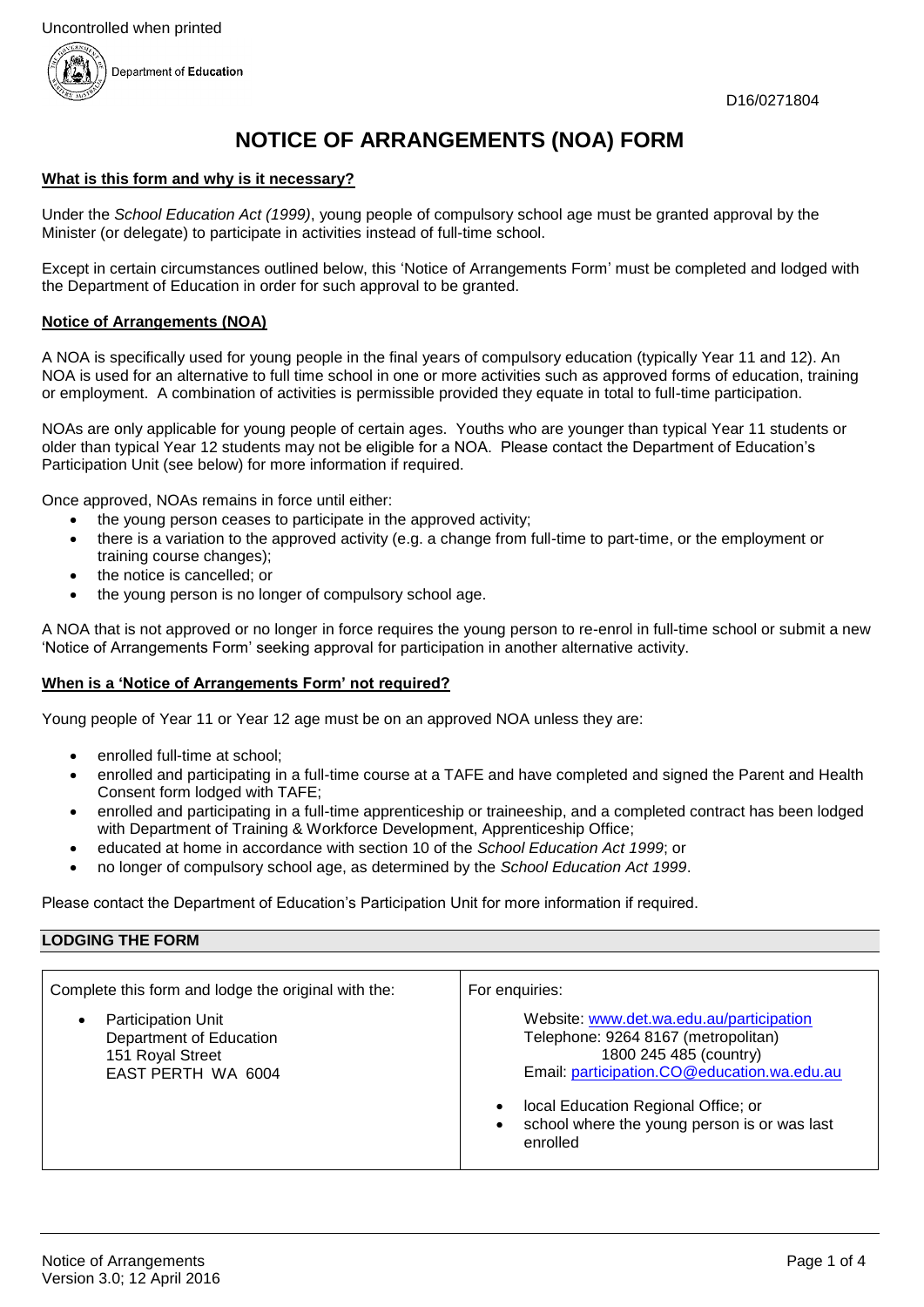

# **NOTICE OF ARRANGEMENTS (NOA) FORM**

#### **What is this form and why is it necessary?**

Under the *School Education Act (1999)*, young people of compulsory school age must be granted approval by the Minister (or delegate) to participate in activities instead of full-time school.

Except in certain circumstances outlined below, this 'Notice of Arrangements Form' must be completed and lodged with the Department of Education in order for such approval to be granted.

#### **Notice of Arrangements (NOA)**

A NOA is specifically used for young people in the final years of compulsory education (typically Year 11 and 12). An NOA is used for an alternative to full time school in one or more activities such as approved forms of education, training or employment. A combination of activities is permissible provided they equate in total to full-time participation.

NOAs are only applicable for young people of certain ages. Youths who are younger than typical Year 11 students or older than typical Year 12 students may not be eligible for a NOA. Please contact the Department of Education's Participation Unit (see below) for more information if required.

Once approved, NOAs remains in force until either:

- the young person ceases to participate in the approved activity;
- there is a variation to the approved activity (e.g. a change from full-time to part-time, or the employment or training course changes);
- the notice is cancelled; or
- the young person is no longer of compulsory school age.

A NOA that is not approved or no longer in force requires the young person to re-enrol in full-time school or submit a new 'Notice of Arrangements Form' seeking approval for participation in another alternative activity.

## **When is a 'Notice of Arrangements Form' not required?**

Young people of Year 11 or Year 12 age must be on an approved NOA unless they are:

- enrolled full-time at school;
- enrolled and participating in a full-time course at a TAFE and have completed and signed the Parent and Health Consent form lodged with TAFE;
- enrolled and participating in a full-time apprenticeship or traineeship, and a completed contract has been lodged with Department of Training & Workforce Development, Apprenticeship Office;
- educated at home in accordance with section 10 of the *School Education Act 1999*; or
- no longer of compulsory school age, as determined by the *School Education Act 1999*.

Please contact the Department of Education's Participation Unit for more information if required.

#### **LODGING THE FORM**

| Complete this form and lodge the original with the:                                                         | For enguiries:                                                                                                                                                                                                                                              |
|-------------------------------------------------------------------------------------------------------------|-------------------------------------------------------------------------------------------------------------------------------------------------------------------------------------------------------------------------------------------------------------|
| <b>Participation Unit</b><br>$\bullet$<br>Department of Education<br>151 Royal Street<br>EAST PERTH WA 6004 | Website: www.det.wa.edu.au/participation<br>Telephone: 9264 8167 (metropolitan)<br>1800 245 485 (country)<br>Email: participation.CO@education.wa.edu.au<br>local Education Regional Office; or<br>school where the young person is or was last<br>enrolled |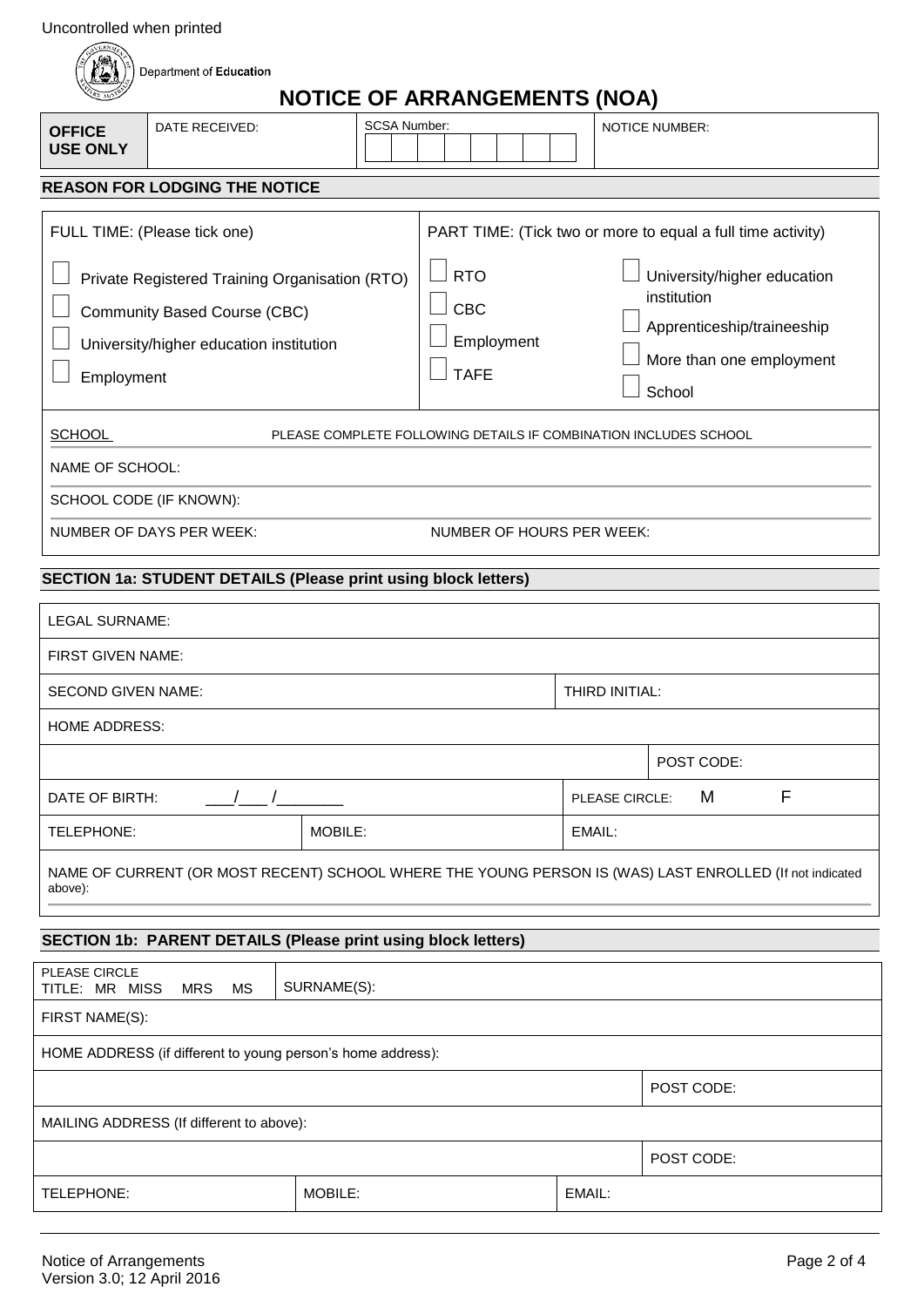| Uncontrolled when printed |  |  |
|---------------------------|--|--|
|                           |  |  |

| Uncontrolled when printed        |                                                                                |                                                                                                         |                                                |                                                             |                |                                                                                                                |   |
|----------------------------------|--------------------------------------------------------------------------------|---------------------------------------------------------------------------------------------------------|------------------------------------------------|-------------------------------------------------------------|----------------|----------------------------------------------------------------------------------------------------------------|---|
|                                  | Department of Education                                                        |                                                                                                         | <b>NOTICE OF ARRANGEMENTS (NOA)</b>            |                                                             |                |                                                                                                                |   |
| <b>OFFICE</b><br><b>USE ONLY</b> | DATE RECEIVED:                                                                 | SCSA Number:                                                                                            |                                                |                                                             |                | <b>NOTICE NUMBER:</b>                                                                                          |   |
|                                  | <b>REASON FOR LODGING THE NOTICE</b>                                           |                                                                                                         |                                                |                                                             |                |                                                                                                                |   |
|                                  | FULL TIME: (Please tick one)                                                   |                                                                                                         |                                                | PART TIME: (Tick two or more to equal a full time activity) |                |                                                                                                                |   |
| Employment                       | <b>Community Based Course (CBC)</b><br>University/higher education institution | Private Registered Training Organisation (RTO)                                                          | <b>RTO</b><br>CBC<br>Employment<br><b>TAFE</b> |                                                             |                | University/higher education<br>institution<br>Apprenticeship/traineeship<br>More than one employment<br>School |   |
| <b>SCHOOL</b>                    |                                                                                | PLEASE COMPLETE FOLLOWING DETAILS IF COMBINATION INCLUDES SCHOOL                                        |                                                |                                                             |                |                                                                                                                |   |
| NAME OF SCHOOL:                  |                                                                                |                                                                                                         |                                                |                                                             |                |                                                                                                                |   |
|                                  | SCHOOL CODE (IF KNOWN):                                                        |                                                                                                         |                                                |                                                             |                |                                                                                                                |   |
|                                  | NUMBER OF DAYS PER WEEK:                                                       |                                                                                                         | NUMBER OF HOURS PER WEEK:                      |                                                             |                |                                                                                                                |   |
|                                  |                                                                                | SECTION 1a: STUDENT DETAILS (Please print using block letters)                                          |                                                |                                                             |                |                                                                                                                |   |
| <b>LEGAL SURNAME:</b>            |                                                                                |                                                                                                         |                                                |                                                             |                |                                                                                                                |   |
| FIRST GIVEN NAME:                |                                                                                |                                                                                                         |                                                |                                                             |                |                                                                                                                |   |
| <b>SECOND GIVEN NAME:</b>        |                                                                                |                                                                                                         |                                                | THIRD INITIAL:                                              |                |                                                                                                                |   |
| <b>HOME ADDRESS:</b>             |                                                                                |                                                                                                         |                                                |                                                             |                |                                                                                                                |   |
|                                  |                                                                                |                                                                                                         |                                                |                                                             |                | POST CODE:                                                                                                     |   |
| DATE OF BIRTH:                   |                                                                                |                                                                                                         |                                                |                                                             | PLEASE CIRCLE: | М                                                                                                              | F |
| TELEPHONE:                       |                                                                                | MOBILE:                                                                                                 |                                                |                                                             | EMAIL:         |                                                                                                                |   |
| above):                          |                                                                                | NAME OF CURRENT (OR MOST RECENT) SCHOOL WHERE THE YOUNG PERSON IS (WAS) LAST ENROLLED (If not indicated |                                                |                                                             |                |                                                                                                                |   |
|                                  |                                                                                | <b>SECTION 1b: PARENT DETAILS (Please print using block letters)</b>                                    |                                                |                                                             |                |                                                                                                                |   |
| PLEASE CIRCLE<br>TITLE: MR MISS  | <b>MS</b><br><b>MRS</b>                                                        | SURNAME(S):                                                                                             |                                                |                                                             |                |                                                                                                                |   |
| FIRST NAME(S):                   |                                                                                |                                                                                                         |                                                |                                                             |                |                                                                                                                |   |
|                                  |                                                                                | HOME ADDRESS (if different to young person's home address):                                             |                                                |                                                             |                |                                                                                                                |   |
|                                  |                                                                                |                                                                                                         |                                                |                                                             |                | POST CODE:                                                                                                     |   |
|                                  | MAILING ADDRESS (If different to above):                                       |                                                                                                         |                                                |                                                             |                |                                                                                                                |   |
|                                  |                                                                                |                                                                                                         |                                                |                                                             |                | POST CODE:                                                                                                     |   |
| TELEPHONE:                       |                                                                                | MOBILE:                                                                                                 |                                                | EMAIL:                                                      |                |                                                                                                                |   |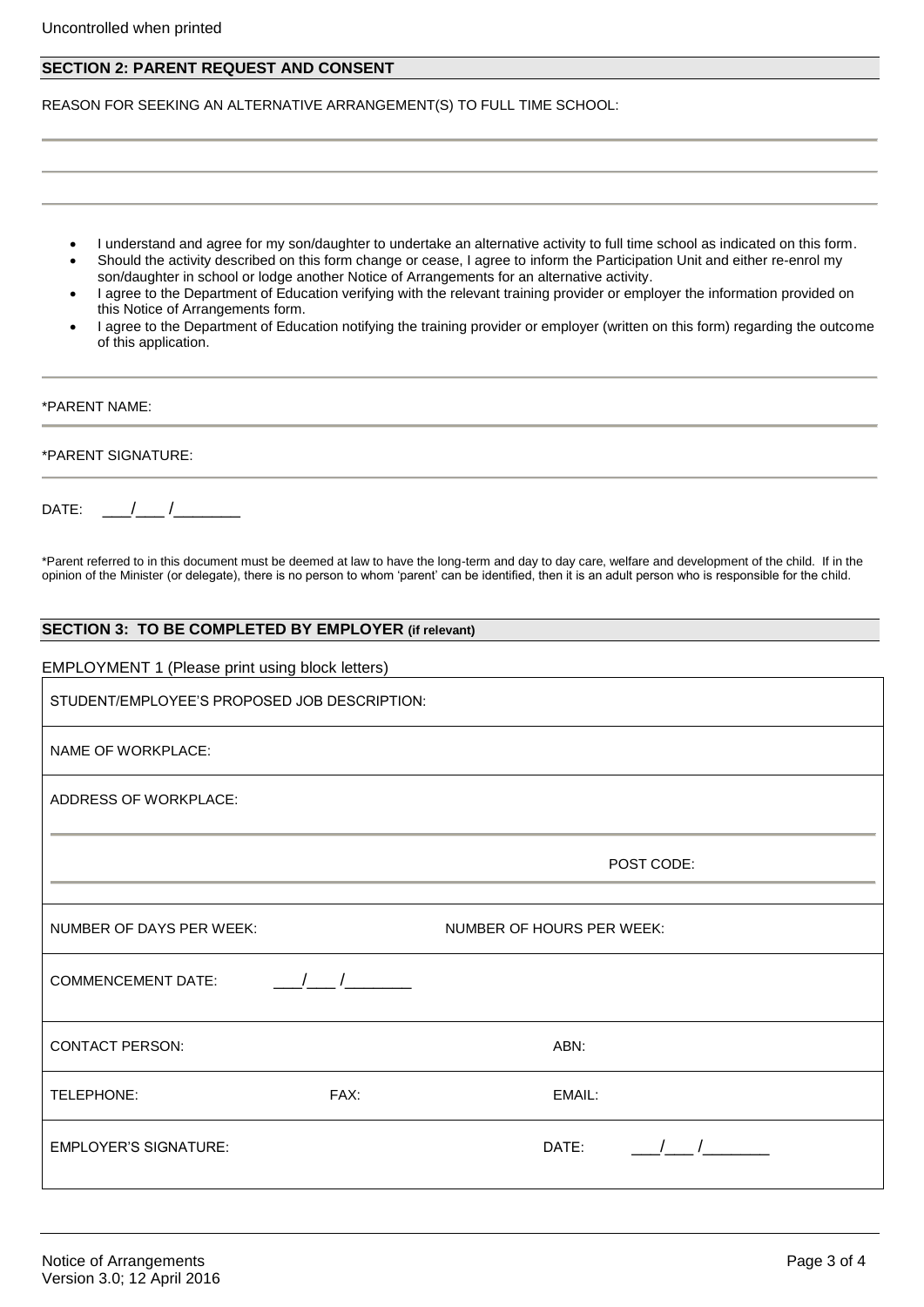#### **SECTION 2: PARENT REQUEST AND CONSENT**

REASON FOR SEEKING AN ALTERNATIVE ARRANGEMENT(S) TO FULL TIME SCHOOL:

- I understand and agree for my son/daughter to undertake an alternative activity to full time school as indicated on this form.
- Should the activity described on this form change or cease, I agree to inform the Participation Unit and either re-enrol my son/daughter in school or lodge another Notice of Arrangements for an alternative activity.
- I agree to the Department of Education verifying with the relevant training provider or employer the information provided on this Notice of Arrangements form.
- I agree to the Department of Education notifying the training provider or employer (written on this form) regarding the outcome of this application.

# \*PARENT NAME: \*PARENT SIGNATURE:

 $\mathsf{DATE:} \qquad / \qquad /$ 

\*Parent referred to in this document must be deemed at law to have the long-term and day to day care, welfare and development of the child. If in the opinion of the Minister (or delegate), there is no person to whom 'parent' can be identified, then it is an adult person who is responsible for the child.

### **SECTION 3: TO BE COMPLETED BY EMPLOYER (if relevant)**

#### EMPLOYMENT 1 (Please print using block letters)

| STUDENT/EMPLOYEE'S PROPOSED JOB DESCRIPTION: |                                           |
|----------------------------------------------|-------------------------------------------|
| NAME OF WORKPLACE:                           |                                           |
| ADDRESS OF WORKPLACE:                        |                                           |
|                                              | POST CODE:                                |
| NUMBER OF DAYS PER WEEK:                     | NUMBER OF HOURS PER WEEK:                 |
| $\frac{1}{2}$<br><b>COMMENCEMENT DATE:</b>   |                                           |
| <b>CONTACT PERSON:</b>                       | ABN:                                      |
| FAX:<br>TELEPHONE:                           | EMAIL:                                    |
| <b>EMPLOYER'S SIGNATURE:</b>                 | $\begin{array}{ccc} \end{array}$<br>DATE: |